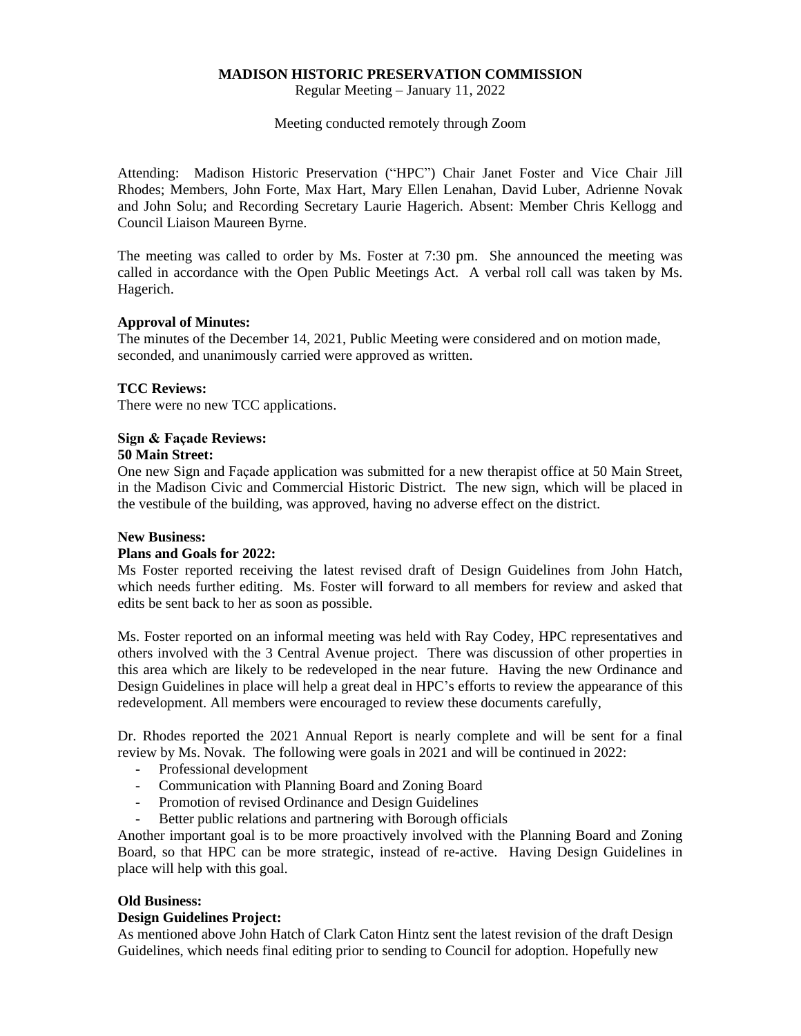# **MADISON HISTORIC PRESERVATION COMMISSION**

Regular Meeting – January 11, 2022

Meeting conducted remotely through Zoom

Attending: Madison Historic Preservation ("HPC") Chair Janet Foster and Vice Chair Jill Rhodes; Members, John Forte, Max Hart, Mary Ellen Lenahan, David Luber, Adrienne Novak and John Solu; and Recording Secretary Laurie Hagerich. Absent: Member Chris Kellogg and Council Liaison Maureen Byrne.

The meeting was called to order by Ms. Foster at 7:30 pm. She announced the meeting was called in accordance with the Open Public Meetings Act. A verbal roll call was taken by Ms. Hagerich.

### **Approval of Minutes:**

The minutes of the December 14, 2021, Public Meeting were considered and on motion made, seconded, and unanimously carried were approved as written.

### **TCC Reviews:**

There were no new TCC applications.

### **Sign & Façade Reviews: 50 Main Street:**

One new Sign and Façade application was submitted for a new therapist office at 50 Main Street, in the Madison Civic and Commercial Historic District. The new sign, which will be placed in the vestibule of the building, was approved, having no adverse effect on the district.

# **New Business:**

#### **Plans and Goals for 2022:**

Ms Foster reported receiving the latest revised draft of Design Guidelines from John Hatch, which needs further editing. Ms. Foster will forward to all members for review and asked that edits be sent back to her as soon as possible.

Ms. Foster reported on an informal meeting was held with Ray Codey, HPC representatives and others involved with the 3 Central Avenue project. There was discussion of other properties in this area which are likely to be redeveloped in the near future. Having the new Ordinance and Design Guidelines in place will help a great deal in HPC's efforts to review the appearance of this redevelopment. All members were encouraged to review these documents carefully,

Dr. Rhodes reported the 2021 Annual Report is nearly complete and will be sent for a final review by Ms. Novak. The following were goals in 2021 and will be continued in 2022:

- Professional development
- Communication with Planning Board and Zoning Board
- Promotion of revised Ordinance and Design Guidelines
- Better public relations and partnering with Borough officials

Another important goal is to be more proactively involved with the Planning Board and Zoning Board, so that HPC can be more strategic, instead of re-active. Having Design Guidelines in place will help with this goal.

#### **Old Business:**

#### **Design Guidelines Project:**

As mentioned above John Hatch of Clark Caton Hintz sent the latest revision of the draft Design Guidelines, which needs final editing prior to sending to Council for adoption. Hopefully new